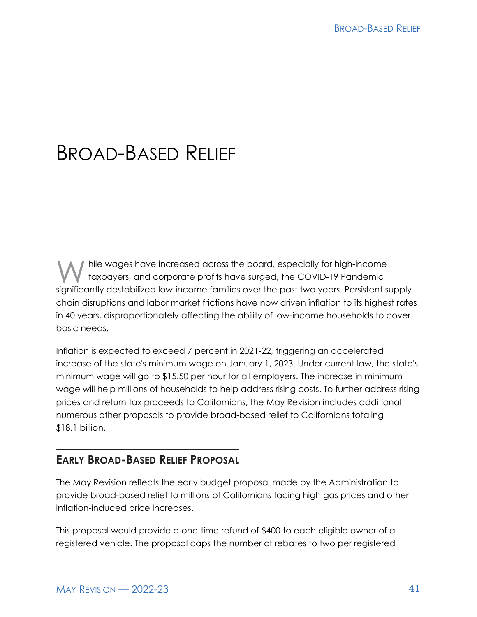# BROAD-BASED RELIEF

hile wages have increased across the board, especially for high-income taxpayers, and corporate profits have surged, the COVID-19 Pandemic significantly destabilized low-income families over the past two years. Persistent supply chain disruptions and labor market frictions have now driven inflation to its highest rates in 40 years, disproportionately affecting the ability of low-income households to cover basic needs.

Inflation is expected to exceed 7 percent in 2021-22, triggering an accelerated increase of the state's minimum wage on January 1, 2023. Under current law, the state's minimum wage will go to \$15.50 per hour for all employers. The increase in minimum wage will help millions of households to help address rising costs. To further address rising prices and return tax proceeds to Californians, the May Revision includes additional numerous other proposals to provide broad-based relief to Californians totaling \$18.1 billion.

# **EARLY BROAD-BASED RELIEF PROPOSAL**

The May Revision reflects the early budget proposal made by the Administration to provide broad-based relief to millions of Californians facing high gas prices and other inflation-induced price increases.

This proposal would provide a one-time refund of \$400 to each eligible owner of a registered vehicle. The proposal caps the number of rebates to two per registered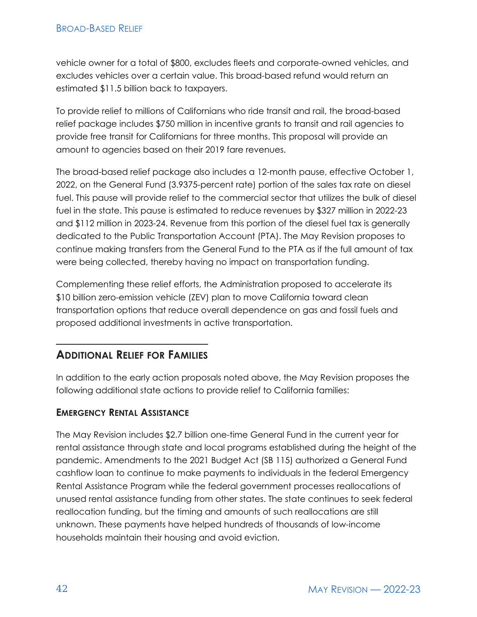#### BROAD-BASED RELIEF

vehicle owner for a total of \$800, excludes fleets and corporate-owned vehicles, and excludes vehicles over a certain value. This broad-based refund would return an estimated \$11.5 billion back to taxpayers.

To provide relief to millions of Californians who ride transit and rail, the broad-based relief package includes \$750 million in incentive grants to transit and rail agencies to provide free transit for Californians for three months. This proposal will provide an amount to agencies based on their 2019 fare revenues.

The broad-based relief package also includes a 12-month pause, effective October 1, 2022, on the General Fund (3.9375-percent rate) portion of the sales tax rate on diesel fuel. This pause will provide relief to the commercial sector that utilizes the bulk of diesel fuel in the state. This pause is estimated to reduce revenues by \$327 million in 2022-23 and \$112 million in 2023-24. Revenue from this portion of the diesel fuel tax is generally dedicated to the Public Transportation Account (PTA). The May Revision proposes to continue making transfers from the General Fund to the PTA as if the full amount of tax were being collected, thereby having no impact on transportation funding.

Complementing these relief efforts, the Administration proposed to accelerate its \$10 billion zero-emission vehicle (ZEV) plan to move California toward clean transportation options that reduce overall dependence on gas and fossil fuels and proposed additional investments in active transportation.

# **ADDITIONAL RELIEF FOR FAMILIES**

In addition to the early action proposals noted above, the May Revision proposes the following additional state actions to provide relief to California families:

#### **EMERGENCY RENTAL ASSISTANCE**

The May Revision includes \$2.7 billion one-time General Fund in the current year for rental assistance through state and local programs established during the height of the pandemic. Amendments to the 2021 Budget Act (SB 115) authorized a General Fund cashflow loan to continue to make payments to individuals in the federal Emergency Rental Assistance Program while the federal government processes reallocations of unused rental assistance funding from other states. The state continues to seek federal reallocation funding, but the timing and amounts of such reallocations are still unknown. These payments have helped hundreds of thousands of low-income households maintain their housing and avoid eviction.